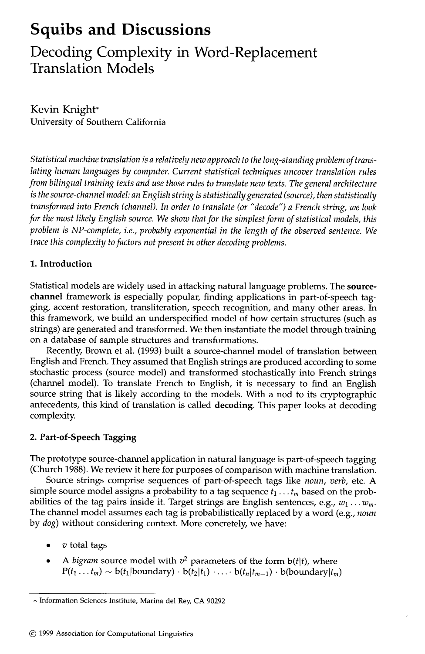# **Squibs and Discussions**

**Decoding Complexity in Word-Replacement Translation Models** 

Kevin Knight\* University of Southern California

*Statistical machine translation is a relatively new approach to the long-standing problem of trans*lating human languages by computer. Current statistical techniques uncover translation rules *from bilingual training texts and use those rules to translate new texts. The general architecture is the source-channel model: an English string is statistically generated (source), then statistically transformed into French (channel). In order to translate (or "decode") a French string, we look for the most likely English source. We show that for the simplest form of statistical models, this problem is NP-complete, i.e., probably exponential in the length of the observed sentence. We trace this complexity to factors not present in other decoding problems.* 

# **1. Introduction**

Statistical models are widely used in attacking natural language problems. The **sourcechannel** framework is especially popular, finding applications in part-of-speech tagging, accent restoration, transliteration, speech recognition, and many other areas. In this framework, we build an underspecified model of how certain structures (such as strings) are generated and transformed. We then instantiate the model through training on a database of sample structures and transformations.

Recently, Brown et al. (1993) built a source-channel model of translation between English and French. They assumed that English strings are produced according to some stochastic process (source model) and transformed stochastically into French strings (channel model). To translate French to English, it is necessary to find an English source string that is likely according to the models. With a nod to its cryptographic antecedents, this kind of translation is called decoding. This paper looks at decoding complexity.

# **2. Part-of-Speech Tagging**

The prototype source-channel application in natural language is part-of-speech tagging (Church 1988). We review it here for purposes of comparison with machine translation.

Source strings comprise sequences of part-of-speech tags like *noun, verb,* etc. A simple source model assigns a probability to a tag sequence  $t_1 \ldots t_m$  based on the probabilities of the tag pairs inside it. Target strings are English sentences, e.g.,  $w_1 \ldots w_m$ . The channel model assumes each tag is probabilistically replaced by a word (e.g., *noun*  by *dog)* without considering context. More concretely, we have:

- **v** total tags
- *A bigram* source model with  $v^2$  parameters of the form  $b(t|t)$ , where  $P(t_1 \ldots t_m) \sim b(t_1|\text{boundary}) \cdot b(t_2|t_1) \ldots b(t_n|t_{m-1}) \cdot b(\text{boundary}|t_m)$

<sup>•</sup> Information Sciences Institute, Marina del Rey, CA 90292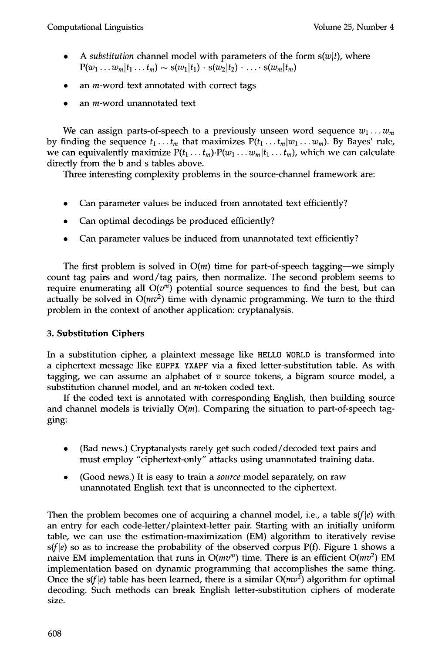- A *substitution* channel model with parameters of the form  $s(w|t)$ , where  $P(w_1 ... w_m | t_1 ... t_m) \sim s(w_1 | t_1) \cdot s(w_2 | t_2) \cdot ... \cdot s(w_m | t_m)$
- an m-word text annotated with correct tags
- an m-word unannotated text

We can assign parts-of-speech to a previously unseen word sequence  $w_1 \ldots w_m$ by finding the sequence  $t_1 \t ... t_m$  that maximizes  $P(t_1 ... t_m | w_1 ... w_m)$ . By Bayes' rule, we can equivalently maximize  $P(t_1 \ldots t_m) \cdot P(w_1 \ldots w_m | t_1 \ldots t_m)$ , which we can calculate directly from the b and s tables above.

Three interesting complexity problems in the source-channel framework are:

- Can parameter values be induced from annotated text efficiently?
- Can optimal decodings be produced efficiently?
- Can parameter values be induced from unannotated text efficiently?

The first problem is solved in  $O(m)$  time for part-of-speech tagging—we simply count tag pairs and word/tag pairs, then normalize. The second problem seems to require enumerating all  $O(v^m)$  potential source sequences to find the best, but can actually be solved in  $O(mv^2)$  time with dynamic programming. We turn to the third problem in the context of another application: cryptanalysis.

# **3. Substitution Ciphers**

In a substitution cipher, a plaintext message like HELLO WORLD is transformed into a ciphertext message like EOPPX YXAPF via a fixed letter-substitution table. As with tagging, we can assume an alphabet of  $v$  source tokens, a bigram source model, a substitution channel model, and an *m*-token coded text.

If the coded text is annotated with corresponding English, then building source and channel models is trivially  $O(m)$ . Comparing the situation to part-of-speech tagging:

- (Bad news.) Cryptanalysts rarely get such coded/decoded text pairs and must employ "ciphertext-only" attacks using unannotated training data.
- (Good news.) It is easy to train a *source* model separately, on raw unannotated English text that is unconnected to the ciphertext.

Then the problem becomes one of acquiring a channel model, i.e., a table  $s(f|e)$  with an entry for each code-letter/plaintext-letter pair. Starting with an initially uniform table, we can use the estimation-maximization (EM) algorithm to iteratively revise  $s(f|e)$  so as to increase the probability of the observed corpus P(f). Figure 1 shows a naive EM implementation that runs in  $O(mv<sup>m</sup>)$  time. There is an efficient  $O(mv<sup>2</sup>)$  EM implementation based on dynamic programming that accomplishes the same thing. Once the s(f|e) table has been learned, there is a similar  $O(mv^2)$  algorithm for optimal decoding. Such methods can break English letter-substitution ciphers of moderate size.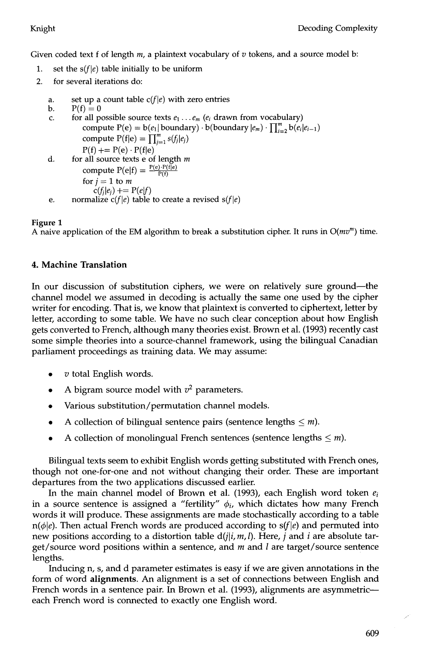Given coded text f of length  $m$ , a plaintext vocabulary of  $v$  tokens, and a source model b:

- 1. set the  $s(f|e)$  table initially to be uniform
- 2. for several iterations do:
	- a, set up a count table  $c(f|e)$  with zero entries
	- b.  $P(f) = 0$
	- C. for all possible source texts  $e_1 \ldots e_m$  ( $e_i$  drawn from vocabulary) compute  $P(e) = b(e_1 | \text{boundary}) \cdot b(\text{boundary}|e_m) \cdot \prod_{i=2}^{m} b(e_i|e_{i-1})$ compute  $P(f|e) = \prod_{j=1}^{m} s(f_j|e_j)$  $P(f)$  +=  $P(e) \cdot P(f|e)$
	- d. for all source texts  $e$  of length  $m$ compute  $P(e|f) = \frac{P(e) P(f|e)}{P(f)}$ for  $j = 1$  to m  $c(f_i|e_i)$  +=  $P(e|f)$ normalize  $c(f|e)$  table to create a revised  $s(f|e)$ e.

# **Figure 1**

A naive application of the EM algorithm to break a substitution cipher. It runs in  $O(mv<sup>m</sup>)$  time.

# **4. Machine Translation**

In our discussion of substitution ciphers, we were on relatively sure ground—the channel model we assumed in decoding is actually the same one used by the cipher writer for encoding. That is, we know that plaintext is converted to ciphertext, letter by letter, according to some table. We have no such clear conception about how English gets converted to French, although many theories exist. Brown et al. (1993) recently cast some simple theories into a source-channel framework, using the bilingual Canadian parliament proceedings as training data. We may assume:

- $\bullet$  v total English words.
- A bigram source model with  $v^2$  parameters.
- Various substitution/permutation channel models.
- A collection of bilingual sentence pairs (sentence lengths  $\leq m$ ).
- A collection of monolingual French sentences (sentence lengths  $\leq m$ ).

Bilingual texts seem to exhibit English words getting substituted with French ones, though not one-for-one and not without changing their order. These are important departures from the two applications discussed earlier.

In the main channel model of Brown et al. (1993), each English word token *ei*  in a source sentence is assigned a "fertility"  $\phi_i$ , which dictates how many French words it will produce. These assignments are made stochastically according to a table  $n(\phi|e)$ . Then actual French words are produced according to  $s(f|e)$  and permuted into new positions according to a distortion table  $d(j|i, m, l)$ . Here, j and i are absolute target/source word positions within a sentence, and  $m$  and  $l$  are target/source sentence lengths.

Inducing n, s, and d parameter estimates is easy if we are given annotations in the form of word **alignments.** An alignment is a set of connections between English and French words in a sentence pair. In Brown et al. (1993), alignments are asymmetric-each French word is connected to exactly one English word.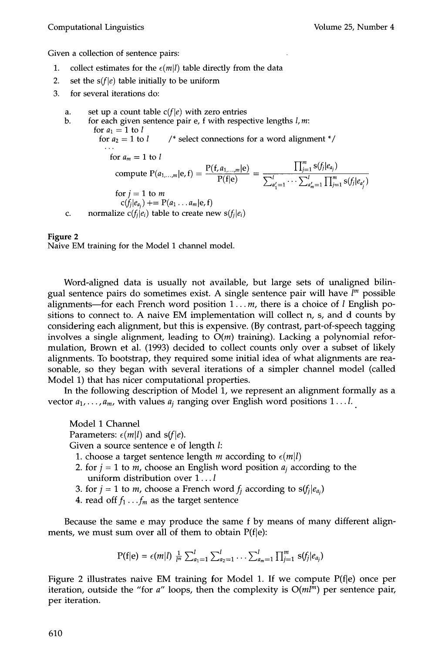Given a collection of sentence pairs:

- 1. collect estimates for the  $\epsilon(m|l)$  table directly from the data
- 2. set the  $s(f|e)$  table initially to be uniform
- 3. for several iterations do:
	- a. set up a count table  $c(f|e)$  with zero entries

b. C. for each given sentence pair e, f with respective lengths I, m: for  $a_1=1$  to l for  $a_2 = 1$  to  $l$  /\* select connections for a word alignment \*/ for  $a_m = 1$  to  $l$ compute  $P(a_{1,...,m}|e, f) = \frac{P(f|e)}{P(f|e)}$ for  $j = 1$  to m  $c(f_i|e_{a_i})$  +=  $P(a_1 \ldots a_m|e, f)$ normalize  $c(f_i|e_i)$  table to create new  $s(f_i|e_i)$  $\prod_{i=1}^m s(f_j|e_{a_j})$  $\sum_{a'=1}^{i} \cdots \sum_{a'_{n}=1}^{i} \prod_{j=1}^{m} s(f_j|e_{a'_{j}})$ 

#### **Figure 2**

Naive EM training for the Model 1 channel model.

Word-aligned data is usually not available, but large sets of unaligned bilingual sentence pairs do sometimes exist. A single sentence pair will have *[m* possible alignments—for each French word position  $1...m$ , there is a choice of *l* English positions to connect to. A naive EM implementation will collect n, s, and d counts by considering each alignment, but this is expensive. (By contrast, part-of-speech tagging involves a single alignment, leading to  $O(m)$  training). Lacking a polynomial reformulation, Brown et al. (1993) decided to collect counts only over a subset of likely alignments. To bootstrap, they required some initial idea of what alignments are reasonable, so they began with several iterations of a simpler channel model (called Model 1) that has nicer computational properties.

In the following description of Model 1, we represent an aligmnent formally as a vector  $a_1, \ldots, a_m$ , with values  $a_i$  ranging over English word positions  $1 \ldots l$ .

Model 1 Channel Parameters:  $\epsilon$ (*m*|*l*) and s(*f*|*e*). Given a source sentence e of length I:

- 1. choose a target sentence length *m* according to  $\epsilon(m|l)$
- 2. for  $j = 1$  to *m*, choose an English word position  $a_j$  according to the uniform distribution over 1... l
- 3. for  $j = 1$  to *m*, choose a French word  $f_i$  according to  $s(f_i|e_{a_i})$
- 4. read off  $f_1 \tldots f_m$  as the target sentence

Because the same e may produce the same f by means of many different alignments, we must sum over all of them to obtain  $P(f|e)$ :

$$
P(f|e) = \epsilon(m|l) \frac{1}{l^{m}} \sum_{a_1=1}^{l} \sum_{a_2=1}^{l} \ldots \sum_{a_m=1}^{l} \prod_{j=1}^{m} s(f_j|e_{a_j})
$$

Figure 2 illustrates naive EM training for Model 1. If we compute  $P(f|e)$  once per iteration, outside the "for  $a$ " loops, then the complexity is  $O(m l<sup>m</sup>)$  per sentence pair, per iteration.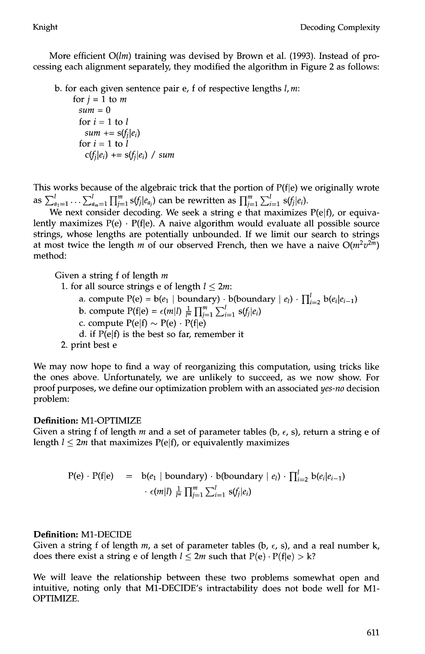More efficient *O(lm)* training was devised by Brown et al. (1993). Instead of processing each alignment separately, they modified the algorithm in Figure 2 as follows:

b. for each given sentence pair e, f of respective lengths  $l, m$ :

for  $j = 1$  to  $m$ *sum = 0*  for  $i = 1$  to  $l$  $sum + = s(f_i|e_i)$ for  $i = 1$  to  $l$  $c(f_i|e_i)$  +=  $s(f_i|e_i)$  / sum

This works because of the algebraic trick that the portion of  $P(f|e)$  we originally wrote as  $\sum_{a_1=1}^{\ell} \ldots \sum_{a_m=1}^{\ell} \prod_{i=1}^m s(f_i|e_{a_i})$  can be rewritten as  $\prod_{i=1}^m \sum_{i=1}^{\ell} s(f_i|e_i)$ .

We next consider decoding. We seek a string e that maximizes  $P(e|f)$ , or equivalently maximizes  $P(e) \cdot P(f|e)$ . A naive algorithm would evaluate all possible source strings, whose lengths are potentially unbounded. If we limit our search to strings at most twice the length m of our observed French, then we have a naive  $O(m^2v^{2m})$ method:

Given a string  $f$  of length  $m$ 

- 1. for all source strings e of length  $l \leq 2m$ :
	- a. compute  $P(e) = b(e_1 | boundary) \cdot b(boundary | e_i) \cdot \prod_{i=2}^{l} b(e_i | e_{i-1})$
	- b. compute  $P(f|e) = \epsilon(m|l) \frac{1}{l^m} \prod_{j=1}^m \sum_{i=1}^l s(f_j|e_i)$
	- c. compute  $P(e|f) \sim P(e) \cdot P(f|e)$
	- d. if  $P(e|f)$  is the best so far, remember it
- 2. print best e

We may now hope to find a way of reorganizing this computation, using tricks like the ones above. Unfortunately, we are unlikely to succeed, as we now show. For proof purposes, we define our optimization problem with an associated *yes-no* decision problem:

# **Definition:** M1-OPTIMIZE

Given a string f of length m and a set of parameter tables (b,  $\epsilon$ , s), return a string e of length  $l \leq 2m$  that maximizes  $P(e|f)$ , or equivalently maximizes

$$
P(e) \cdot P(f|e) = b(e_1 \mid boundary) \cdot b(boundary \mid e_i) \cdot \prod_{i=2}^{l} b(e_i|e_{i-1})
$$

$$
\cdot \epsilon(m|l) \frac{1}{l^m} \prod_{j=1}^{m} \sum_{i=1}^{l} s(f_j|e_i)
$$

# **Definition:** M1-DECIDE

Given a string f of length m, a set of parameter tables (b,  $\epsilon$ , s), and a real number k, does there exist a string e of length  $l \leq 2m$  such that  $P(e) \cdot P(f|e) > k$ ?

We will leave the relationship between these two problems somewhat open and intuitive, noting only that M1-DECIDE's intractability does not bode well for M1- OPTIMIZE.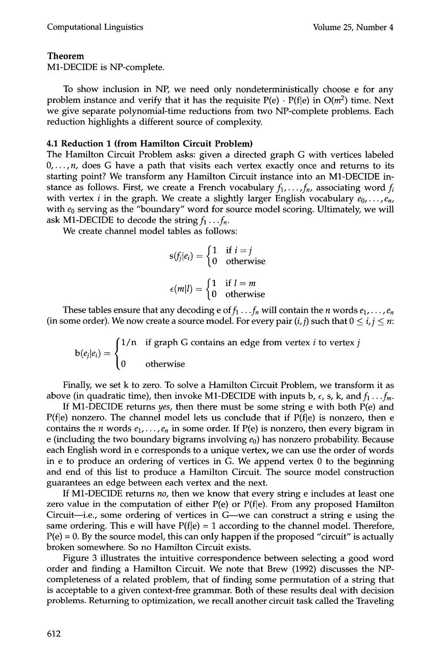#### **Theorem**

M1-DECIDE is NP-complete.

To show inclusion in NP, we need only nondeterministically choose e for any problem instance and verify that it has the requisite  $P(e) \cdot P(f|e)$  in  $O(m^2)$  time. Next we give separate polynomial-time reductions from two NP-complete problems. Each reduction highlights a different source of complexity.

#### **4.1 Reduction 1 (from Hamilton Circuit Problem)**

The Hamilton Circuit Problem asks: given a directed graph G with vertices labeled  $0, \ldots, n$ , does G have a path that visits each vertex exactly once and returns to its starting point? We transform any Hamilton Circuit instance into an M1-DECIDE instance as follows. First, we create a French vocabulary  $f_1, \ldots, f_n$ , associating word  $f_i$ with vertex *i* in the graph. We create a slightly larger English vocabulary  $e_0, \ldots, e_n$ , with  $e_0$  serving as the "boundary" word for source model scoring. Ultimately, we will ask M1-DECIDE to decode the string  $f_1 \dots f_n$ .

We create channel model tables as follows:

$$
s(f_j|e_i) = \begin{cases} 1 & \text{if } i = j \\ 0 & \text{otherwise} \end{cases}
$$

$$
\epsilon(m|l) = \begin{cases} 1 & \text{if } l = m \\ 0 & \text{otherwise} \end{cases}
$$

These tables ensure that any decoding e of  $f_1 \tldots f_n$  will contain the *n* words  $e_1, \ldots, e_n$ (in some order). We now create a source model. For every pair  $(i, j)$  such that  $0 \le i, j \le n$ :

 $\lceil 1/n \rceil$  if graph G contains an edge from vertex *i* to vertex *j*  $b(e_i|e_i)$ **to** otherwise

Finally, we set k to zero. To solve a Hamilton Circuit Problem, we transform it as above (in quadratic time), then invoke M1-DECIDE with inputs b,  $\epsilon$ , s, k, and  $f_1 \ldots f_m$ .

If M1-DECIDE returns *yes,* then there must be some string e with both P(e) and  $P(f|e)$  nonzero. The channel model lets us conclude that if  $P(f|e)$  is nonzero, then e contains the *n* words  $e_1, \ldots, e_n$  in some order. If P(e) is nonzero, then every bigram in e (including the two boundary bigrams involving  $e_0$ ) has nonzero probability. Because each English word in e corresponds to a unique vertex, we can use the order of words in e to produce an ordering of vertices in G. We append vertex 0 to the beginning and end of this list to produce a Hamilton Circuit. The source model construction guarantees an edge between each vertex and the next.

If M1-DECIDE returns *no,* then we know that every string e includes at least one zero value in the computation of either  $P(e)$  or  $P(f|e)$ . From any proposed Hamilton Circuit-i.e., some ordering of vertices in G—we can construct a string e using the same ordering. This e will have  $P(f|e) = 1$  according to the channel model. Therefore,  $P(e) = 0$ . By the source model, this can only happen if the proposed "circuit" is actually broken somewhere. So no Hamilton Circuit exists.

Figure 3 illustrates the intuitive correspondence between selecting a good word order and finding a Hamilton Circuit. We note that Brew (1992) discusses the NPcompleteness of a related problem, that of finding some permutation of a string that is acceptable to a given context-free grammar. Both of these results deal with decision problems. Returning to optimization, we recall another circuit task called the Traveling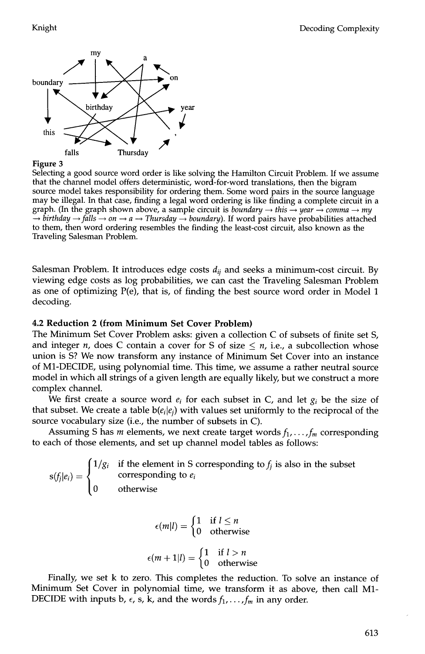

#### **Figure 3**

Selecting a good source word order is like solving the Hamilton Circuit Problem. If we assume that the channel model offers deterministic, word-for-word translations, then the bigram source model takes responsibility for ordering them. Some word pairs in the source language may be illegal. In that case, finding a legal word ordering is like finding a complete circuit in a graph. (In the graph shown above, a sample circuit is *boundary*  $\rightarrow$  this  $\rightarrow$  year  $\rightarrow$  comma  $\rightarrow$  my  $\rightarrow$  birthday  $\rightarrow$  falls  $\rightarrow$  on  $\rightarrow a$   $\rightarrow$  Thursday  $\rightarrow$  boundary). If word pairs have probabilities attached to them, then word ordering resembles the finding the least-cost circuit, also known as the Traveling Salesman Problem.

Salesman Problem. It introduces edge costs  $d_{ij}$  and seeks a minimum-cost circuit. By viewing edge costs as log probabilities, we can cast the Traveling Salesman Problem as one of optimizing P(e), that is, of finding the best source word order in Model 1 decoding.

#### **4.2 Reduction 2 (from Minimum Set Cover Problem)**

The Minimum Set Cover Problem asks: given a collection C of subsets of finite set S, and integer *n*, does C contain a cover for S of size  $\leq n$ , i.e., a subcollection whose union is S? We now transform any instance of Minimum Set Cover into an instance of M1-DECIDE, using polynomial time. This time, we assume a rather neutral source model in which all strings of a given length are equally likely, but we construct a more complex channel.

We first create a source word  $e_i$  for each subset in C, and let  $g_i$  be the size of that subset. We create a table  $b(e_i|e_j)$  with values set uniformly to the reciprocal of the source vocabulary size (i.e., the number of subsets in C).

Assuming S has  $m$  elements, we next create target words  $f_1, \ldots, f_m$  corresponding to each of those elements, and set up channel model tables as follows:

if the element in S corresponding to  $f_i$  is also in the subset corresponding to *ei*  otherwise

> $\epsilon$ (*m*|*l*) =  $\epsilon$ <sup>1</sup> **if**  $\epsilon$ <sup>2</sup> otherwise

$$
\epsilon(m+1|l) = \begin{cases} 1 & \text{if } l > n \\ 0 & \text{otherwise} \end{cases}
$$

Finally, we set k to zero. This completes the reduction. To solve an instance of Minimum Set Cover in polynomial time, we transform it as above, then call M1- DECIDE with inputs b,  $\epsilon$ , s, k, and the words  $f_1, \ldots, f_m$  in any order.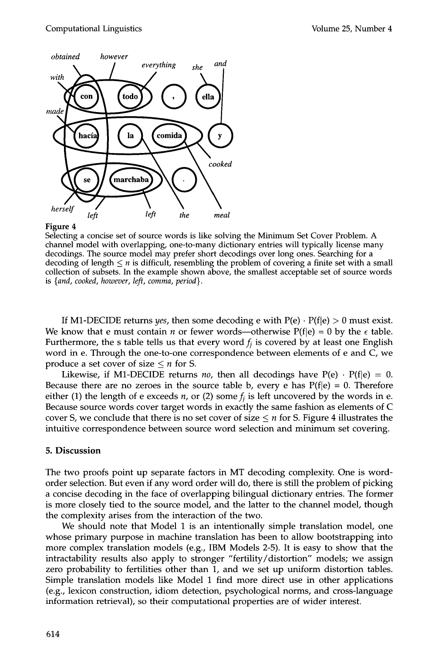

#### Figure 4

Selecting a concise set of source words is like solving the Minimum Set Cover Problem. A channel model with overlapping, one-to-many dictionary entries will typically license many decodings. The source model may prefer short decodings over long ones. Searching for a decoding of length  $\leq n$  is difficult, resembling the problem of covering a finite set with a small collection of subsets. In the example shown above, the smallest acceptable set of source words is *{and, cooked, however, left, comma, period}.* 

If M1-DECIDE returns *yes*, then some decoding e with  $P(e) \cdot P(f|e) > 0$  must exist. We know that e must contain *n* or fewer words—otherwise  $P(f|e) = 0$  by the  $\epsilon$  table. Furthermore, the s table tells us that every word  $f_i$  is covered by at least one English word in e. Through the one-to-one correspondence between elements of e and C, we produce a set cover of size  $\leq n$  for S.

Likewise, if M1-DECIDE returns *no*, then all decodings have  $P(e) \cdot P(f|e) = 0$ . Because there are no zeroes in the source table b, every e has  $P(f|e) = 0$ . Therefore either (1) the length of e exceeds *n*, or (2) some  $f_i$  is left uncovered by the words in e. Because source words cover target words in exactly the same fashion as elements of C cover S, we conclude that there is no set cover of size  $\leq n$  for S. Figure 4 illustrates the intuitive correspondence between source word selection and minimum set covering.

#### **5. Discussion**

The two proofs point up separate factors in MT decoding complexity. One is wordorder selection. But even if any word order will do, there is still the problem of picking a concise decoding in the face of overlapping bilingual dictionary entries. The former is more closely tied to the source model, and the latter to the channel model, though the complexity arises from the interaction of the two.

We should note that Model 1 is an intentionally simple translation model, one whose primary purpose in machine translation has been to allow bootstrapping into more complex translation models (e.g., IBM Models 2-5). It is easy to show that the intractability results also apply to stronger "fertility/distortion" models; we assign zero probability to fertilities other than 1, and we set up uniform distortion tables. Simple translation models like Model 1 find more direct use in other applications (e.g., lexicon construction, idiom detection, psychological norms, and cross-language information retrieval), so their computational properties are of wider interest.